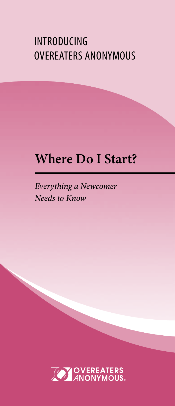# INTRODUCING OVEREATERS ANONYMOUS

# **Where Do I Start?**

*Everything a Newcomer Needs to Know*

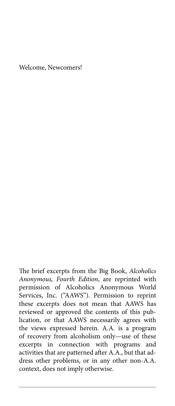Welcome, Newcomers!

The brief excerpts from the Big Book, *Alcoholics Anonymous, Fourth Edition*, are reprinted with permission of Alcoholics Anonymous World Services, Inc. ("AAWS"). Permission to reprint these excerpts does not mean that AAWS has reviewed or approved the contents of this publication, or that AAWS necessarily agrees with the views expressed herein. A.A. is a program of recovery from alcoholism only—use of these excerpts in connection with programs and activities that are patterned after A.A., but that address other problems, or in any other non-A.A. context, does not imply otherwise.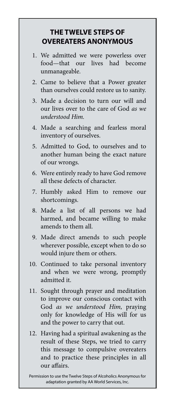### **THE TWELVE STEPS OF OVEREATERS ANONYMOUS**

- 1. We admitted we were powerless over food—that our lives had become unmanageable.
- 2. Came to believe that a Power greater than ourselves could restore us to sanity.
- 3. Made a decision to turn our will and our lives over to the care of God *as we understood Him.*
- 4. Made a searching and fearless moral inventory of ourselves.
- 5. Admitted to God, to ourselves and to another human being the exact nature of our wrongs.
- 6. Were entirely ready to have God remove all these defects of character.
- 7. Humbly asked Him to remove our shortcomings.
- 8. Made a list of all persons we had harmed, and became willing to make amends to them all.
- 9. Made direct amends to such people wherever possible, except when to do so would injure them or others.
- 10. Continued to take personal inventory and when we were wrong, promptly admitted it.
- 11. Sought through prayer and meditation to improve our conscious contact with God *as we understood Him,* praying only for knowledge of His will for us and the power to carry that out.
- 12. Having had a spiritual awakening as the result of these Steps, we tried to carry this message to compulsive overeaters and to practice these principles in all our affairs.

Permission to use the Twelve Steps of Alcoholics Anonymous for adaptation granted by AA World Services, Inc.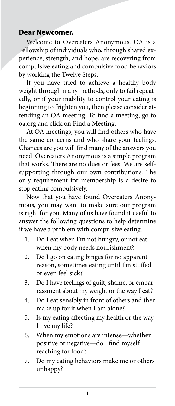### **Dear Newcomer,**

Welcome to Overeaters Anonymous. OA is a Fellowship of individuals who, through shared experience, strength, and hope, are recovering from compulsive eating and compulsive food behaviors by working the Twelve Steps.

If you have tried to achieve a healthy body weight through many methods, only to fail repeatedly, or if your inability to control your eating is beginning to frighten you, then please consider attending an OA meeting. To find a meeting, go to oa.org and click on Find a Meeting.

At OA meetings, you will find others who have the same concerns and who share your feelings. Chances are you will find many of the answers you need. Overeaters Anonymous is a simple program that works. There are no dues or fees. We are selfsupporting through our own contributions. The only requirement for membership is a desire to stop eating compulsively.

Now that you have found Overeaters Anonymous, you may want to make sure our program is right for you. Many of us have found it useful to answer the following questions to help determine if we have a problem with compulsive eating.

- 1. Do I eat when I'm not hungry, or not eat when my body needs nourishment?
- 2. Do I go on eating binges for no apparent reason, sometimes eating until I'm stuffed or even feel sick?
- 3. Do I have feelings of guilt, shame, or embarrassment about my weight or the way I eat?
- 4. Do I eat sensibly in front of others and then make up for it when I am alone?
- 5. Is my eating affecting my health or the way I live my life?
- 6. When my emotions are intense—whether positive or negative—do I find myself reaching for food?
- 7. Do my eating behaviors make me or others unhappy?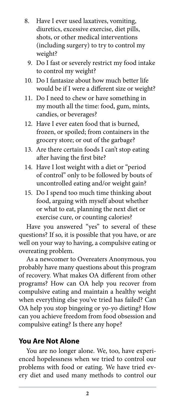- 8. Have I ever used laxatives, vomiting, diuretics, excessive exercise, diet pills, shots, or other medical interventions (including surgery) to try to control my weight?
	- 9. Do I fast or severely restrict my food intake to control my weight?
- 10. Do I fantasize about how much better life would be if I were a different size or weight?
- 11. Do I need to chew or have something in my mouth all the time: food, gum, mints, candies, or beverages?
- 12. Have I ever eaten food that is burned, frozen, or spoiled; from containers in the grocery store; or out of the garbage?
- 13. Are there certain foods I can't stop eating after having the first bite?
- 14. Have I lost weight with a diet or "period of control" only to be followed by bouts of uncontrolled eating and/or weight gain?
- 15. Do I spend too much time thinking about food, arguing with myself about whether or what to eat, planning the next diet or exercise cure, or counting calories?

Have you answered "yes" to several of these questions? If so, it is possible that you have, or are well on your way to having, a compulsive eating or overeating problem.

As a newcomer to Overeaters Anonymous, you probably have many questions about this program of recovery. What makes OA different from other programs? How can OA help you recover from compulsive eating and maintain a healthy weight when everything else you've tried has failed? Can OA help you stop bingeing or yo-yo dieting? How can you achieve freedom from food obsession and compulsive eating? Is there any hope?

### **You Are Not Alone**

You are no longer alone. We, too, have experienced hopelessness when we tried to control our problems with food or eating. We have tried every diet and used many methods to control our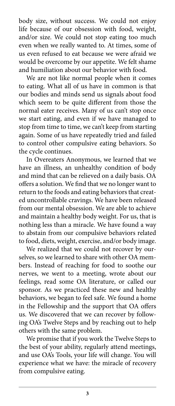body size, without success. We could not enjoy life because of our obsession with food, weight, and/or size. We could not stop eating too much even when we really wanted to. At times, some of us even refused to eat because we were afraid we would be overcome by our appetite. We felt shame and humiliation about our behavior with food.

We are not like normal people when it comes to eating. What all of us have in common is that our bodies and minds send us signals about food which seem to be quite different from those the normal eater receives. Many of us can't stop once we start eating, and even if we have managed to stop from time to time, we can't keep from starting again. Some of us have repeatedly tried and failed to control other compulsive eating behaviors. So the cycle continues.

In Overeaters Anonymous, we learned that we have an illness, an unhealthy condition of body and mind that can be relieved on a daily basis. OA offers a solution. We find that we no longer want to return to the foods and eating behaviors that created uncontrollable cravings. We have been released from our mental obsession. We are able to achieve and maintain a healthy body weight. For us, that is nothing less than a miracle. We have found a way to abstain from our compulsive behaviors related to food, diets, weight, exercise, and/or body image.

We realized that we could not recover by ourselves, so we learned to share with other OA members. Instead of reaching for food to soothe our nerves, we went to a meeting, wrote about our feelings, read some OA literature, or called our sponsor. As we practiced these new and healthy behaviors, we began to feel safe. We found a home in the Fellowship and the support that OA offers us. We discovered that we can recover by following OA's Twelve Steps and by reaching out to help others with the same problem.

We promise that if you work the Twelve Steps to the best of your ability, regularly attend meetings, and use OA's Tools, your life will change. You will experience what we have: the miracle of recovery from compulsive eating.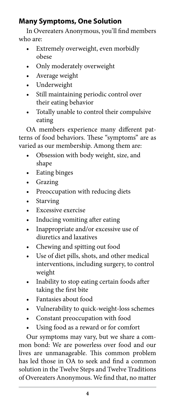# **Many Symptoms, One Solution**

In Overeaters Anonymous, you'll find members who are:

- Extremely overweight, even morbidly obese
- Only moderately overweight
- Average weight
- Underweight
- Still maintaining periodic control over their eating behavior
- Totally unable to control their compulsive eating

OA members experience many different patterns of food behaviors. These "symptoms" are as varied as our membership. Among them are:

- Obsession with body weight, size, and shape
- Eating binges
- Grazing
- Preoccupation with reducing diets
- Starving
- Excessive exercise
- Inducing vomiting after eating
- Inappropriate and/or excessive use of diuretics and laxatives
- Chewing and spitting out food
- Use of diet pills, shots, and other medical interventions, including surgery, to control weight
- Inability to stop eating certain foods after taking the first bite
- Fantasies about food
- Vulnerability to quick-weight-loss schemes
- Constant preoccupation with food
- Using food as a reward or for comfort

Our symptoms may vary, but we share a common bond: We are powerless over food and our lives are unmanageable. This common problem has led those in OA to seek and find a common solution in the Twelve Steps and Twelve Traditions of Overeaters Anonymous. We find that, no matter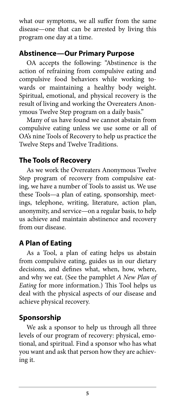what our symptoms, we all suffer from the same disease—one that can be arrested by living this program one day at a time.

### **Abstinence—Our Primary Purpose**

OA accepts the following: "Abstinence is the action of refraining from compulsive eating and compulsive food behaviors while working towards or maintaining a healthy body weight. Spiritual, emotional, and physical recovery is the result of living and working the Overeaters Anonymous Twelve Step program on a daily basis."

Many of us have found we cannot abstain from compulsive eating unless we use some or all of OA's nine Tools of Recovery to help us practice the Twelve Steps and Twelve Traditions.

### **The Tools of Recovery**

As we work the Overeaters Anonymous Twelve Step program of recovery from compulsive eating, we have a number of Tools to assist us. We use these Tools—a plan of eating, sponsorship, meetings, telephone, writing, literature, action plan, anonymity, and service—on a regular basis, to help us achieve and maintain abstinence and recovery from our disease.

# **A Plan of Eating**

As a Tool, a plan of eating helps us abstain from compulsive eating, guides us in our dietary decisions, and defines what, when, how, where, and why we eat. (See the pamphlet *A New Plan of Eating* for more information.) This Tool helps us deal with the physical aspects of our disease and achieve physical recovery.

# **Sponsorship**

We ask a sponsor to help us through all three levels of our program of recovery: physical, emotional, and spiritual. Find a sponsor who has what you want and ask that person how they are achieving it.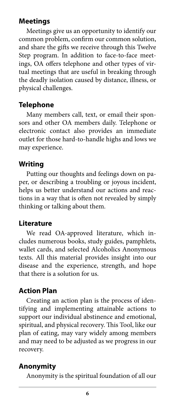### **Meetings**

Meetings give us an opportunity to identify our common problem, confirm our common solution, and share the gifts we receive through this Twelve Step program. In addition to face-to-face meetings, OA offers telephone and other types of virtual meetings that are useful in breaking through the deadly isolation caused by distance, illness, or physical challenges.

### **Telephone**

Many members call, text, or email their sponsors and other OA members daily. Telephone or electronic contact also provides an immediate outlet for those hard-to-handle highs and lows we may experience.

### **Writing**

Putting our thoughts and feelings down on paper, or describing a troubling or joyous incident, helps us better understand our actions and reactions in a way that is often not revealed by simply thinking or talking about them.

### **Literature**

We read OA-approved literature, which includes numerous books, study guides, pamphlets, wallet cards, and selected Alcoholics Anonymous texts. All this material provides insight into our disease and the experience, strength, and hope that there is a solution for us.

### **Action Plan**

Creating an action plan is the process of identifying and implementing attainable actions to support our individual abstinence and emotional, spiritual, and physical recovery. This Tool, like our plan of eating, may vary widely among members and may need to be adjusted as we progress in our recovery.

### **Anonymity**

Anonymity is the spiritual foundation of all our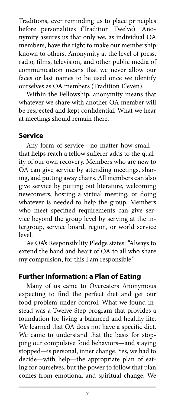Traditions, ever reminding us to place principles before personalities (Tradition Twelve). Anonymity assures us that only we, as individual OA members, have the right to make our membership known to others. Anonymity at the level of press, radio, films, television, and other public media of communication means that we never allow our faces or last names to be used once we identify ourselves as OA members (Tradition Eleven).

Within the Fellowship, anonymity means that whatever we share with another OA member will be respected and kept confidential. What we hear at meetings should remain there.

### **Service**

Any form of service—no matter how small that helps reach a fellow sufferer adds to the quality of our own recovery. Members who are new to OA can give service by attending meetings, sharing, and putting away chairs. All members can also give service by putting out literature, welcoming newcomers, hosting a virtual meeting, or doing whatever is needed to help the group. Members who meet specified requirements can give service beyond the group level by serving at the intergroup, service board, region, or world service level.

As OA's Responsibility Pledge states: "Always to extend the hand and heart of OA to all who share my compulsion; for this I am responsible."

### **Further Information: a Plan of Eating**

Many of us came to Overeaters Anonymous expecting to find the perfect diet and get our food problem under control. What we found instead was a Twelve Step program that provides a foundation for living a balanced and healthy life. We learned that OA does not have a specific diet. We came to understand that the basis for stopping our compulsive food behaviors—and staying stopped—is personal, inner change. Yes, we had to decide—with help—the appropriate plan of eating for ourselves, but the power to follow that plan comes from emotional and spiritual change. We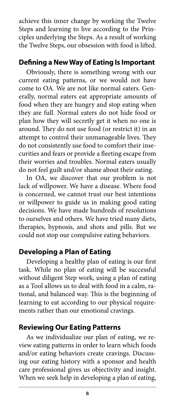achieve this inner change by working the Twelve Steps and learning to live according to the Principles underlying the Steps. As a result of working the Twelve Steps, our obsession with food is lifted.

### **Defining a New Way of Eating Is Important**

Obviously, there is something wrong with our current eating patterns, or we would not have come to OA. We are not like normal eaters. Generally, normal eaters eat appropriate amounts of food when they are hungry and stop eating when they are full. Normal eaters do not hide food or plan how they will secretly get it when no one is around. They do not use food (or restrict it) in an attempt to control their unmanageable lives. They do not consistently use food to comfort their insecurities and fears or provide a fleeting escape from their worries and troubles. Normal eaters usually do not feel guilt and/or shame about their eating.

In OA, we discover that our problem is not lack of willpower. We have a disease. Where food is concerned, we cannot trust our best intentions or willpower to guide us in making good eating decisions. We have made hundreds of resolutions to ourselves and others. We have tried many diets, therapies, hypnosis, and shots and pills. But we could not stop our compulsive eating behaviors.

### **Developing a Plan of Eating**

Developing a healthy plan of eating is our first task. While no plan of eating will be successful without diligent Step work, using a plan of eating as a Tool allows us to deal with food in a calm, rational, and balanced way. This is the beginning of learning to eat according to our physical requirements rather than our emotional cravings.

### **Reviewing Our Eating Patterns**

As we individualize our plan of eating, we review eating patterns in order to learn which foods and/or eating behaviors create cravings. Discussing our eating history with a sponsor and health care professional gives us objectivity and insight. When we seek help in developing a plan of eating,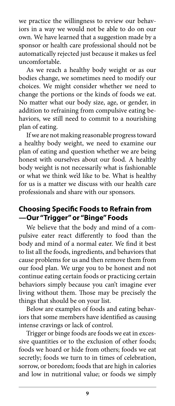we practice the willingness to review our behaviors in a way we would not be able to do on our own. We have learned that a suggestion made by a sponsor or health care professional should not be automatically rejected just because it makes us feel uncomfortable.

As we reach a healthy body weight or as our bodies change, we sometimes need to modify our choices. We might consider whether we need to change the portions or the kinds of foods we eat. No matter what our body size, age, or gender, in addition to refraining from compulsive eating behaviors, we still need to commit to a nourishing plan of eating.

If we are not making reasonable progress toward a healthy body weight, we need to examine our plan of eating and question whether we are being honest with ourselves about our food. A healthy body weight is not necessarily what is fashionable or what we think we'd like to be. What is healthy for us is a matter we discuss with our health care professionals and share with our sponsors.

### **Choosing Specific Foods to Refrain from —Our "Trigger" or "Binge" Foods**

We believe that the body and mind of a compulsive eater react differently to food than the body and mind of a normal eater. We find it best to list all the foods, ingredients, and behaviors that cause problems for us and then remove them from our food plan. We urge you to be honest and not continue eating certain foods or practicing certain behaviors simply because you can't imagine ever living without them. Those may be precisely the things that should be on your list.

Below are examples of foods and eating behaviors that some members have identified as causing intense cravings or lack of control.

Trigger or binge foods are foods we eat in excessive quantities or to the exclusion of other foods; foods we hoard or hide from others; foods we eat secretly; foods we turn to in times of celebration, sorrow, or boredom; foods that are high in calories and low in nutritional value; or foods we simply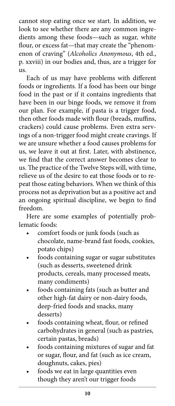cannot stop eating once we start. In addition, we look to see whether there are any common ingredients among these foods—such as sugar, white flour, or excess fat—that may create the "phenomenon of craving" (*Alcoholics Anonymous*, 4th ed., p. xxviii) in our bodies and, thus, are a trigger for  $_{11S}$ .

Each of us may have problems with different foods or ingredients. If a food has been our binge food in the past or if it contains ingredients that have been in our binge foods, we remove it from our plan. For example, if pasta is a trigger food, then other foods made with flour (breads, muffins, crackers) could cause problems. Even extra servings of a non-trigger food might create cravings. If we are unsure whether a food causes problems for us, we leave it out at first. Later, with abstinence, we find that the correct answer becomes clear to us. The practice of the Twelve Steps will, with time, relieve us of the desire to eat those foods or to repeat those eating behaviors. When we think of this process not as deprivation but as a positive act and an ongoing spiritual discipline, we begin to find freedom.

Here are some examples of potentially problematic foods:

- comfort foods or junk foods (such as chocolate, name-brand fast foods, cookies, potato chips)
- foods containing sugar or sugar substitutes (such as desserts, sweetened drink products, cereals, many processed meats, many condiments)
- foods containing fats (such as butter and other high-fat dairy or non-dairy foods, deep-fried foods and snacks, many desserts)
- foods containing wheat, flour, or refined carbohydrates in general (such as pastries, certain pastas, breads)
- foods containing mixtures of sugar and fat or sugar, flour, and fat (such as ice cream, doughnuts, cakes, pies)
- foods we eat in large quantities even though they aren't our trigger foods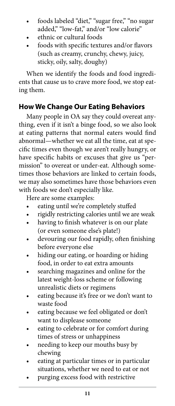- foods labeled "diet," "sugar free," "no sugar added," "low-fat," and/or "low calorie"
- ethnic or cultural foods
- foods with specific textures and/or flavors (such as creamy, crunchy, chewy, juicy, sticky, oily, salty, doughy)

When we identify the foods and food ingredients that cause us to crave more food, we stop eating them.

# **How We Change Our Eating Behaviors**

Many people in OA say they could overeat anything, even if it isn't a binge food, so we also look at eating patterns that normal eaters would find abnormal—whether we eat all the time, eat at specific times even though we aren't really hungry, or have specific habits or excuses that give us "permission" to overeat or under-eat. Although sometimes those behaviors are linked to certain foods, we may also sometimes have those behaviors even with foods we don't especially like.

Here are some examples:

- eating until we're completely stuffed
- rigidly restricting calories until we are weak
- having to finish whatever is on our plate (or even someone else's plate!)
- devouring our food rapidly, often finishing before everyone else
- hiding our eating, or hoarding or hiding food, in order to eat extra amounts
- searching magazines and online for the latest weight-loss scheme or following unrealistic diets or regimens
- eating because it's free or we don't want to waste food
- eating because we feel obligated or don't want to displease someone
- eating to celebrate or for comfort during times of stress or unhappiness
- needing to keep our mouths busy by chewing
- eating at particular times or in particular situations, whether we need to eat or not
- purging excess food with restrictive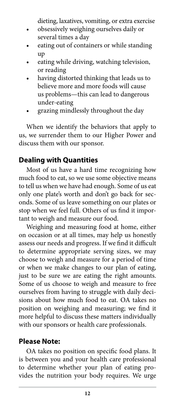dieting, laxatives, vomiting, or extra exercise

- obsessively weighing ourselves daily or several times a day
- eating out of containers or while standing up
- eating while driving, watching television, or reading
- having distorted thinking that leads us to believe more and more foods will cause us problems—this can lead to dangerous under-eating
- grazing mindlessly throughout the day

When we identify the behaviors that apply to us, we surrender them to our Higher Power and discuss them with our sponsor.

# **Dealing with Quantities**

Most of us have a hard time recognizing how much food to eat, so we use some objective means to tell us when we have had enough. Some of us eat only one plate's worth and don't go back for seconds. Some of us leave something on our plates or stop when we feel full. Others of us find it important to weigh and measure our food.

Weighing and measuring food at home, either on occasion or at all times, may help us honestly assess our needs and progress. If we find it difficult to determine appropriate serving sizes, we may choose to weigh and measure for a period of time or when we make changes to our plan of eating, just to be sure we are eating the right amounts. Some of us choose to weigh and measure to free ourselves from having to struggle with daily decisions about how much food to eat. OA takes no position on weighing and measuring; we find it more helpful to discuss these matters individually with our sponsors or health care professionals.

# **Please Note:**

OA takes no position on specific food plans. It is between you and your health care professional to determine whether your plan of eating provides the nutrition your body requires. We urge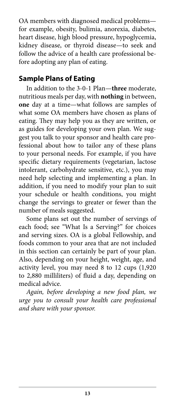OA members with diagnosed medical problems for example, obesity, bulimia, anorexia, diabetes, heart disease, high blood pressure, hypoglycemia, kidney disease, or thyroid disease—to seek and follow the advice of a health care professional before adopting any plan of eating.

### **Sample Plans of Eating**

In addition to the 3-0-1 Plan—**three** moderate, nutritious meals per day, with **nothing** in between, **one** day at a time—what follows are samples of what some OA members have chosen as plans of eating. They may help you as they are written, or as guides for developing your own plan. We suggest you talk to your sponsor and health care professional about how to tailor any of these plans to your personal needs. For example, if you have specific dietary requirements (vegetarian, lactose intolerant, carbohydrate sensitive, etc.), you may need help selecting and implementing a plan. In addition, if you need to modify your plan to suit your schedule or health conditions, you might change the servings to greater or fewer than the number of meals suggested.

Some plans set out the number of servings of each food; see "What Is a Serving?" for choices and serving sizes. OA is a global Fellowship, and foods common to your area that are not included in this section can certainly be part of your plan. Also, depending on your height, weight, age, and activity level, you may need 8 to 12 cups (1,920 to 2,880 milliliters) of fluid a day, depending on medical advice.

*Again, before developing a new food plan, we urge you to consult your health care professional and share with your sponsor.*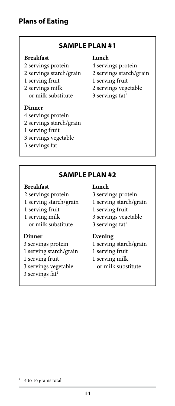### **SAMPLE PLAN #1**

#### **Breakfast**

- 2 servings protein
- 2 servings starch/grain
- 1 serving fruit
- 2 servings milk or milk substitute

#### **Dinner**

- 4 servings protein
- 2 servings starch/grain
- 1 serving fruit
- 3 servings vegetable
- $3$  servings fat<sup>1</sup>

#### **Lunch**

- 4 servings protein
- 2 servings starch/grain
- 1 serving fruit
- 2 servings vegetable
- $3$  servings fat<sup>1</sup>

### **SAMPLE PLAN #2**

#### **Breakfast**

- 2 servings protein
- 1 serving starch/grain
- 1 serving fruit
- 1 serving milk or milk substitute

#### **Dinner**

- 3 servings protein
- 1 serving starch/grain
- 1 serving fruit
- 3 servings vegetable
- $3$  servings fat<sup>1</sup>

#### **Lunch**

- 3 servings protein
- 1 serving starch/grain
- 1 serving fruit
- 3 servings vegetable
- $3$  servings fat<sup>1</sup>

#### **Evening**

- 1 serving starch/grain
- 1 serving fruit
- 1 serving milk or milk substitute

 $\frac{1}{114}$  to 16 grams total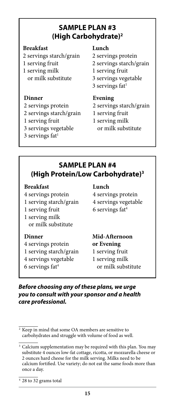# **SAMPLE PLAN #3 (High Carbohydrate)2**

#### **Breakfast**

- 2 servings starch/grain
- 1 serving fruit
- 1 serving milk or milk substitute

#### **Dinner**

- 2 servings protein
- 2 servings starch/grain
- 1 serving fruit
- 3 servings vegetable
- $3$  servings fat<sup>1</sup>

#### **Lunch**

- 2 servings protein
- 2 servings starch/grain
- 1 serving fruit
- 3 servings vegetable
- $3$  servings fat<sup>1</sup>

#### **Evening**

- 2 servings starch/grain
- 1 serving fruit
- 1 serving milk or milk substitute

### **SAMPLE PLAN #4 (High Protein/Low Carbohydrate)3**

#### **Breakfast**

- 4 servings protein
- 1 serving starch/grain
- 1 serving fruit
- 1 serving milk or milk substitute

#### **Dinner**

- 4 servings protein
- 1 serving starch/grain
- 4 servings vegetable
- $6$  servings fat<sup>4</sup>

#### **Lunch**

- 4 servings protein
- 4 servings vegetable
- 6 servings fat4

# **Mid-Afternoon or Evening**

- 1 serving fruit
- 1 serving milk or milk substitute

*Before choosing any of these plans, we urge you to consult with your sponsor and a health care professional.*

<sup>3</sup> Calcium supplementation may be required with this plan. You may substitute 4 ounces low-fat cottage, ricotta, or mozzarella cheese or 2 ounces hard cheese for the milk serving. Milks need to be calcium fortified. Use variety; do not eat the same foods more than once a day.

 $4\overline{28}$  to 32 grams total

 $\sqrt{2}$  Keep in mind that some OA members are sensitive to carbohydrates and struggle with volume of food as well.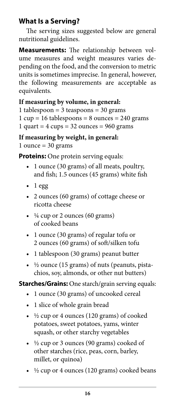# **What Is a Serving?**

The serving sizes suggested below are general nutritional guidelines.

**Measurements:** The relationship between volume measures and weight measures varies depending on the food, and the conversion to metric units is sometimes imprecise. In general, however, the following measurements are acceptable as equivalents.

### **If measuring by volume, in general:**

- 1 tablespoon =  $3$  teaspoons =  $30$  grams
- $1 cup = 16 tablespoons = 8 ounces = 240 grams$

```
1 quart = 4 \text{ cups} = 32 \text{ ounces} = 960 \text{ grams}
```
**If measuring by weight, in general:**

1 ounce  $=$  30 grams

**Proteins:** One protein serving equals:

- 1 ounce (30 grams) of all meats, poultry, and fish; 1.5 ounces (45 grams) white fish
- $\bullet$  1 egg
- 2 ounces (60 grams) of cottage cheese or ricotta cheese
- $\cdot$   $\frac{1}{4}$  cup or 2 ounces (60 grams) of cooked beans
- 1 ounce (30 grams) of regular tofu or 2 ounces (60 grams) of soft/silken tofu
- 1 tablespoon (30 grams) peanut butter
- ½ ounce (15 grams) of nuts (peanuts, pistachios, soy, almonds, or other nut butters)

### **Starches/Grains:** One starch/grain serving equals:

- 1 ounce (30 grams) of uncooked cereal
- 1 slice of whole grain bread
- ½ cup or 4 ounces (120 grams) of cooked potatoes, sweet potatoes, yams, winter squash, or other starchy vegetables
- ½ cup or 3 ounces (90 grams) cooked of other starches (rice, peas, corn, barley, millet, or quinoa)
- $\frac{1}{2}$  cup or 4 ounces (120 grams) cooked beans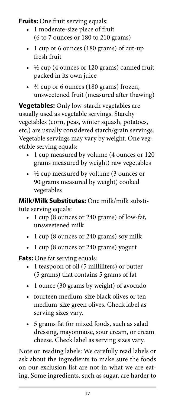**Fruits:** One fruit serving equals:

- 1 moderate-size piece of fruit (6 to 7 ounces or 180 to 210 grams)
- 1 cup or 6 ounces (180 grams) of cut-up fresh fruit
- $\cdot$  ½ cup (4 ounces or 120 grams) canned fruit packed in its own juice
- ¾ cup or 6 ounces (180 grams) frozen, unsweetened fruit (measured after thawing)

**Vegetables:** Only low-starch vegetables are usually used as vegetable servings. Starchy vegetables (corn, peas, winter squash, potatoes, etc.) are usually considered starch/grain servings. Vegetable servings may vary by weight. One vegetable serving equals:

- 1 cup measured by volume (4 ounces or 120 grams measured by weight) raw vegetables
- ½ cup measured by volume (3 ounces or 90 grams measured by weight) cooked vegetables

**Milk/Milk Substitutes:** One milk/milk substitute serving equals:

- 1 cup (8 ounces or 240 grams) of low-fat, unsweetened milk
- 1 cup (8 ounces or 240 grams) soy milk
- 1 cup (8 ounces or 240 grams) yogurt

**Fats:** One fat serving equals:

- 1 teaspoon of oil (5 milliliters) or butter (5 grams) that contains 5 grams of fat
- 1 ounce (30 grams by weight) of avocado
- fourteen medium-size black olives or ten medium-size green olives. Check label as serving sizes vary.
- 5 grams fat for mixed foods, such as salad dressing, mayonnaise, sour cream, or cream cheese. Check label as serving sizes vary.

Note on reading labels: We carefully read labels or ask about the ingredients to make sure the foods on our exclusion list are not in what we are eating. Some ingredients, such as sugar, are harder to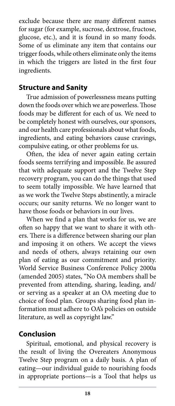exclude because there are many different names for sugar (for example, sucrose, dextrose, fructose, glucose, etc.), and it is found in so many foods. Some of us eliminate any item that contains our trigger foods, while others eliminate only the items in which the triggers are listed in the first four ingredients.

### **Structure and Sanity**

True admission of powerlessness means putting down the foods over which we are powerless. Those foods may be different for each of us. We need to be completely honest with ourselves, our sponsors, and our health care professionals about what foods, ingredients, and eating behaviors cause cravings, compulsive eating, or other problems for us.

Often, the idea of never again eating certain foods seems terrifying and impossible. Be assured that with adequate support and the Twelve Step recovery program, you can do the things that used to seem totally impossible. We have learned that as we work the Twelve Steps abstinently, a miracle occurs; our sanity returns. We no longer want to have those foods or behaviors in our lives.

When we find a plan that works for us, we are often so happy that we want to share it with others. There is a difference between sharing our plan and imposing it on others. We accept the views and needs of others, always retaining our own plan of eating as our commitment and priority. World Service Business Conference Policy 2000a (amended 2005) states, "No OA members shall be prevented from attending, sharing, leading, and/ or serving as a speaker at an OA meeting due to choice of food plan. Groups sharing food plan information must adhere to OA's policies on outside literature, as well as copyright law."

# **Conclusion**

Spiritual, emotional, and physical recovery is the result of living the Overeaters Anonymous Twelve Step program on a daily basis. A plan of eating—our individual guide to nourishing foods in appropriate portions—is a Tool that helps us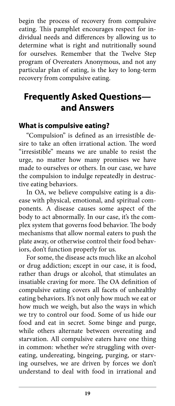begin the process of recovery from compulsive eating. This pamphlet encourages respect for individual needs and differences by allowing us to determine what is right and nutritionally sound for ourselves. Remember that the Twelve Step program of Overeaters Anonymous, and not any particular plan of eating, is the key to long-term recovery from compulsive eating.

# **Frequently Asked Questions and Answers**

### **What is compulsive eating?**

"Compulsion" is defined as an irresistible desire to take an often irrational action. The word "irresistible" means we are unable to resist the urge, no matter how many promises we have made to ourselves or others. In our case, we have the compulsion to indulge repeatedly in destructive eating behaviors.

In OA, we believe compulsive eating is a disease with physical, emotional, and spiritual components. A disease causes some aspect of the body to act abnormally. In our case, it's the complex system that governs food behavior. The body mechanisms that allow normal eaters to push the plate away, or otherwise control their food behaviors, don't function properly for us.

For some, the disease acts much like an alcohol or drug addiction; except in our case, it is food, rather than drugs or alcohol, that stimulates an insatiable craving for more. The OA definition of compulsive eating covers all facets of unhealthy eating behaviors. It's not only how much we eat or how much we weigh, but also the ways in which we try to control our food. Some of us hide our food and eat in secret. Some binge and purge, while others alternate between overeating and starvation. All compulsive eaters have one thing in common: whether we're struggling with overeating, undereating, bingeing, purging, or starving ourselves, we are driven by forces we don't understand to deal with food in irrational and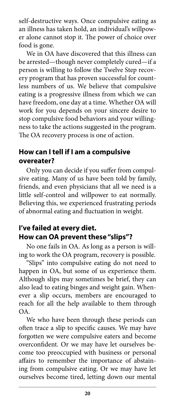self-destructive ways. Once compulsive eating as an illness has taken hold, an individual's willpower alone cannot stop it. The power of choice over food is gone.

We in OA have discovered that this illness can be arrested—though never completely cured—if a person is willing to follow the Twelve Step recovery program that has proven successful for countless numbers of us. We believe that compulsive eating is a progressive illness from which we can have freedom, one day at a time. Whether OA will work for you depends on your sincere desire to stop compulsive food behaviors and your willingness to take the actions suggested in the program. The OA recovery process is one of action.

### **How can I tell if I am a compulsive overeater?**

Only you can decide if you suffer from compulsive eating. Many of us have been told by family, friends, and even physicians that all we need is a little self-control and willpower to eat normally. Believing this, we experienced frustrating periods of abnormal eating and fluctuation in weight.

### **I've failed at every diet. How can OA prevent these "slips"?**

No one fails in OA. As long as a person is willing to work the OA program, recovery is possible.

"Slips" into compulsive eating do not need to happen in OA, but some of us experience them. Although slips may sometimes be brief, they can also lead to eating binges and weight gain. Whenever a slip occurs, members are encouraged to reach for all the help available to them through OA.

We who have been through these periods can often trace a slip to specific causes. We may have forgotten we were compulsive eaters and become overconfident. Or we may have let ourselves become too preoccupied with business or personal affairs to remember the importance of abstaining from compulsive eating. Or we may have let ourselves become tired, letting down our mental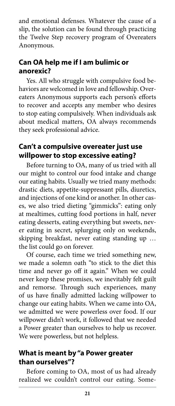and emotional defenses. Whatever the cause of a slip, the solution can be found through practicing the Twelve Step recovery program of Overeaters Anonymous.

### **Can OA help me if I am bulimic or anorexic?**

Yes. All who struggle with compulsive food behaviors are welcomed in love and fellowship. Overeaters Anonymous supports each person's efforts to recover and accepts any member who desires to stop eating compulsively. When individuals ask about medical matters, OA always recommends they seek professional advice.

### **Can't a compulsive overeater just use willpower to stop excessive eating?**

Before turning to OA, many of us tried with all our might to control our food intake and change our eating habits. Usually we tried many methods: drastic diets, appetite-suppressant pills, diuretics, and injections of one kind or another. In other cases, we also tried dieting "gimmicks": eating only at mealtimes, cutting food portions in half, never eating desserts, eating everything but sweets, never eating in secret, splurging only on weekends, skipping breakfast, never eating standing up … the list could go on forever.

Of course, each time we tried something new, we made a solemn oath "to stick to the diet this time and never go off it again." When we could never keep these promises, we inevitably felt guilt and remorse. Through such experiences, many of us have finally admitted lacking willpower to change our eating habits. When we came into OA, we admitted we were powerless over food. If our willpower didn't work, it followed that we needed a Power greater than ourselves to help us recover. We were powerless, but not helpless.

### **What is meant by "a Power greater than ourselves"?**

Before coming to OA, most of us had already realized we couldn't control our eating. Some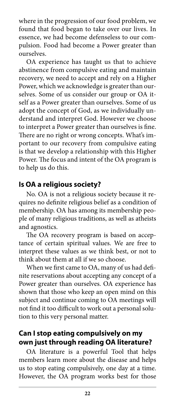where in the progression of our food problem, we found that food began to take over our lives. In essence, we had become defenseless to our compulsion. Food had become a Power greater than ourselves.

OA experience has taught us that to achieve abstinence from compulsive eating and maintain recovery, we need to accept and rely on a Higher Power, which we acknowledge is greater than ourselves. Some of us consider our group or OA itself as a Power greater than ourselves. Some of us adopt the concept of God, as we individually understand and interpret God. However we choose to interpret a Power greater than ourselves is fine. There are no right or wrong concepts. What's important to our recovery from compulsive eating is that we develop a relationship with this Higher Power. The focus and intent of the OA program is to help us do this.

### **Is OA a religious society?**

No. OA is not a religious society because it requires no definite religious belief as a condition of membership. OA has among its membership people of many religious traditions, as well as atheists and agnostics.

The OA recovery program is based on acceptance of certain spiritual values. We are free to interpret these values as we think best, or not to think about them at all if we so choose.

When we first came to OA, many of us had definite reservations about accepting any concept of a Power greater than ourselves. OA experience has shown that those who keep an open mind on this subject and continue coming to OA meetings will not find it too difficult to work out a personal solution to this very personal matter.

### **Can I stop eating compulsively on my own just through reading OA literature?**

OA literature is a powerful Tool that helps members learn more about the disease and helps us to stop eating compulsively, one day at a time. However, the OA program works best for those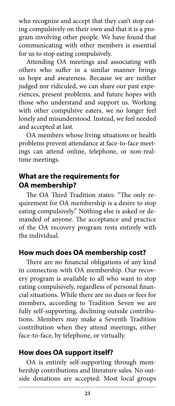who recognize and accept that they can't stop eating compulsively on their own and that it is a program involving other people. We have found that communicating with other members is essential for us to stop eating compulsively.

Attending OA meetings and associating with others who suffer in a similar manner brings us hope and awareness. Because we are neither judged nor ridiculed, we can share our past experiences, present problems, and future hopes with those who understand and support us. Working with other compulsive eaters, we no longer feel lonely and misunderstood. Instead, we feel needed and accepted at last.

OA members whose living situations or health problems prevent attendance at face-to-face meetings can attend online, telephone, or non-realtime meetings.

### **What are the requirements for OA membership?**

The OA Third Tradition states: "The only requirement for OA membership is a desire to stop eating compulsively." Nothing else is asked or demanded of anyone. The acceptance and practice of the OA recovery program rests entirely with the individual.

### **How much does OA membership cost?**

There are no financial obligations of any kind in connection with OA membership. Our recovery program is available to all who want to stop eating compulsively, regardless of personal financial situations. While there are no dues or fees for members, according to Tradition Seven we are fully self-supporting, declining outside contributions. Members may make a Seventh Tradition contribution when they attend meetings, either face-to-face, by telephone, or virtually.

### **How does OA support itself?**

OA is entirely self-supporting through membership contributions and literature sales. No outside donations are accepted. Most local groups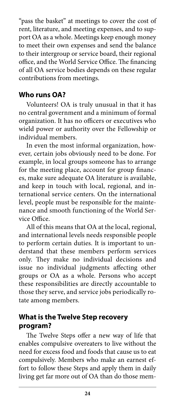"pass the basket" at meetings to cover the cost of rent, literature, and meeting expenses, and to support OA as a whole. Meetings keep enough money to meet their own expenses and send the balance to their intergroup or service board, their regional office, and the World Service Office. The financing of all OA service bodies depends on these regular contributions from meetings.

### **Who runs OA?**

Volunteers! OA is truly unusual in that it has no central government and a minimum of formal organization. It has no officers or executives who wield power or authority over the Fellowship or individual members.

In even the most informal organization, however, certain jobs obviously need to be done. For example, in local groups someone has to arrange for the meeting place, account for group finances, make sure adequate OA literature is available, and keep in touch with local, regional, and international service centers. On the international level, people must be responsible for the maintenance and smooth functioning of the World Service Office.

All of this means that OA at the local, regional, and international levels needs responsible people to perform certain duties. It is important to understand that these members perform services only. They make no individual decisions and issue no individual judgments affecting other groups or OA as a whole. Persons who accept these responsibilities are directly accountable to those they serve, and service jobs periodically rotate among members.

### **What is the Twelve Step recovery program?**

The Twelve Steps offer a new way of life that enables compulsive overeaters to live without the need for excess food and foods that cause us to eat compulsively. Members who make an earnest effort to follow these Steps and apply them in daily living get far more out of OA than do those mem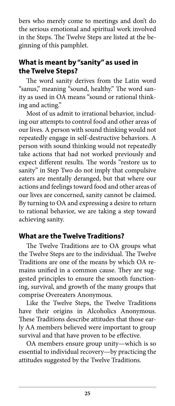bers who merely come to meetings and don't do the serious emotional and spiritual work involved in the Steps. The Twelve Steps are listed at the beginning of this pamphlet.

# **What is meant by "sanity" as used in the Twelve Steps?**

The word sanity derives from the Latin word "sanus," meaning "sound, healthy." The word sanity as used in OA means "sound or rational thinking and acting."

Most of us admit to irrational behavior, including our attempts to control food and other areas of our lives. A person with sound thinking would not repeatedly engage in self-destructive behaviors. A person with sound thinking would not repeatedly take actions that had not worked previously and expect different results. The words "restore us to sanity" in Step Two do not imply that compulsive eaters are mentally deranged, but that where our actions and feelings toward food and other areas of our lives are concerned, sanity cannot be claimed. By turning to OA and expressing a desire to return to rational behavior, we are taking a step toward achieving sanity.

### **What are the Twelve Traditions?**

The Twelve Traditions are to OA groups what the Twelve Steps are to the individual. The Twelve Traditions are one of the means by which OA remains unified in a common cause. They are suggested principles to ensure the smooth functioning, survival, and growth of the many groups that comprise Overeaters Anonymous.

Like the Twelve Steps, the Twelve Traditions have their origins in Alcoholics Anonymous. These Traditions describe attitudes that those early AA members believed were important to group survival and that have proven to be effective.

OA members ensure group unity—which is so essential to individual recovery—by practicing the attitudes suggested by the Twelve Traditions.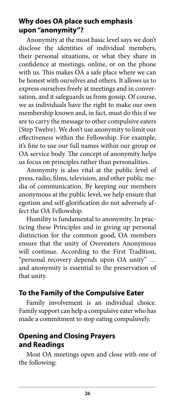### **Why does OA place such emphasis upon "anonymity"?**

Anonymity at the most basic level says we don't disclose the identities of individual members, their personal situations, or what they share in confidence at meetings, online, or on the phone with us. This makes OA a safe place where we can be honest with ourselves and others. It allows us to express ourselves freely at meetings and in conversation, and it safeguards us from gossip. Of course, we as individuals have the right to make our own membership known and, in fact, must do this if we are to carry the message to other compulsive eaters (Step Twelve). We don't use anonymity to limit our effectiveness within the Fellowship. For example, it's fine to use our full names within our group or OA service body. The concept of anonymity helps us focus on principles rather than personalities.

Anonymity is also vital at the public level of press, radio, films, television, and other public media of communication. By keeping our members anonymous at the public level, we help ensure that egotism and self-glorification do not adversely affect the OA Fellowship.

Humility is fundamental to anonymity. In practicing these Principles and in giving up personal distinction for the common good, OA members ensure that the unity of Overeaters Anonymous will continue. According to the First Tradition, "personal recovery depends upon OA unity" … and anonymity is essential to the preservation of that unity.

### **To the Family of the Compulsive Eater**

Family involvement is an individual choice. Family support can help a compulsive eater who has made a commitment to stop eating compulsively.

# **Opening and Closing Prayers and Readings**

Most OA meetings open and close with one of the following: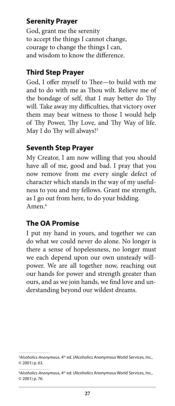# **Serenity Prayer**

God, grant me the serenity to accept the things I cannot change, courage to change the things I can, and wisdom to know the difference.

### **Third Step Prayer**

God, I offer myself to Thee—to build with me and to do with me as Thou wilt. Relieve me of the bondage of self, that I may better do Thy will. Take away my difficulties, that victory over them may bear witness to those I would help of Thy Power, Thy Love, and Thy Way of life. May I do Thy will always!<sup>5</sup>

### **Seventh Step Prayer**

My Creator, I am now willing that you should have all of me, good and bad. I pray that you now remove from me every single defect of character which stands in the way of my usefulness to you and my fellows. Grant me strength, as I go out from here, to do your bidding. Amen.6

### **The OA Promise**

I put my hand in yours, and together we can do what we could never do alone. No longer is there a sense of hopelessness, no longer must we each depend upon our own unsteady willpower. We are all together now, reaching out our hands for power and strength greater than ours, and as we join hands, we find love and understanding beyond our wildest dreams.

<sup>&</sup>lt;sup>5</sup>Alcoholics Anonymous, 4<sup>th</sup> ed. (Alcoholics Anonymous World Services, Inc., © 2001) p. 63.

<sup>&</sup>lt;sup>6</sup>Alcoholics Anonymous, 4<sup>th</sup> ed. (Alcoholics Anonymous World Services, Inc., © 2001) p. 76.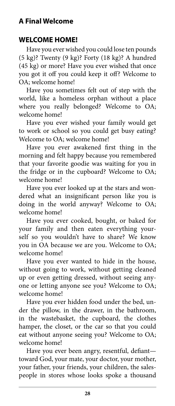# **A Final Welcome**

### **WELCOME HOME!**

Have you ever wished you could lose ten pounds (5 kg)? Twenty (9 kg)? Forty (18 kg)? A hundred (45 kg) or more? Have you ever wished that once you got it off you could keep it off? Welcome to OA; welcome home!

Have you sometimes felt out of step with the world, like a homeless orphan without a place where you really belonged? Welcome to OA; welcome home!

Have you ever wished your family would get to work or school so you could get busy eating? Welcome to OA; welcome home!

Have you ever awakened first thing in the morning and felt happy because you remembered that your favorite goodie was waiting for you in the fridge or in the cupboard? Welcome to OA; welcome home!

Have you ever looked up at the stars and wondered what an insignificant person like you is doing in the world anyway? Welcome to OA; welcome home!

Have you ever cooked, bought, or baked for your family and then eaten everything yourself so you wouldn't have to share? We know you in OA because we are you. Welcome to OA; welcome home!

Have you ever wanted to hide in the house, without going to work, without getting cleaned up or even getting dressed, without seeing anyone or letting anyone see you? Welcome to OA; welcome home!

Have you ever hidden food under the bed, under the pillow, in the drawer, in the bathroom, in the wastebasket, the cupboard, the clothes hamper, the closet, or the car so that you could eat without anyone seeing you? Welcome to OA; welcome home!

Have you ever been angry, resentful, defiant toward God, your mate, your doctor, your mother, your father, your friends, your children, the salespeople in stores whose looks spoke a thousand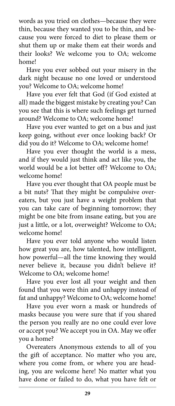words as you tried on clothes—because they were thin, because they wanted you to be thin, and because you were forced to diet to please them or shut them up or make them eat their words and their looks? We welcome you to OA; welcome home!

Have you ever sobbed out your misery in the dark night because no one loved or understood you? Welcome to OA; welcome home!

Have you ever felt that God (if God existed at all) made the biggest mistake by creating you? Can you see that this is where such feelings get turned around? Welcome to OA; welcome home!

Have you ever wanted to get on a bus and just keep going, without ever once looking back? Or did you do it? Welcome to OA; welcome home!

Have you ever thought the world is a mess, and if they would just think and act like you, the world would be a lot better off? Welcome to OA; welcome home!

Have you ever thought that OA people must be a bit nuts? That they might be compulsive overeaters, but you just have a weight problem that you can take care of beginning tomorrow; they might be one bite from insane eating, but you are just a little, or a lot, overweight? Welcome to OA; welcome home!

Have you ever told anyone who would listen how great you are, how talented, how intelligent, how powerful—all the time knowing they would never believe it, because you didn't believe it? Welcome to OA; welcome home!

Have you ever lost all your weight and then found that you were thin and unhappy instead of fat and unhappy? Welcome to OA; welcome home!

Have you ever worn a mask or hundreds of masks because you were sure that if you shared the person you really are no one could ever love or accept you? We accept you in OA. May we offer you a home?

Overeaters Anonymous extends to all of you the gift of acceptance. No matter who you are, where you come from, or where you are heading, you are welcome here! No matter what you have done or failed to do, what you have felt or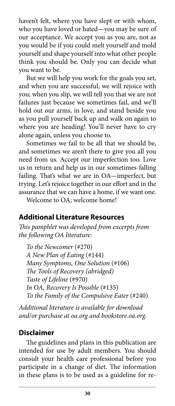haven't felt, where you have slept or with whom, who you have loved or hated—you may be sure of our acceptance. We accept you as you are, not as you would be if you could melt yourself and mold yourself and shape yourself into what other people think you should be. Only you can decide what you want to be.

But we will help you work for the goals you set, and when you are successful, we will rejoice with you; when you slip, we will tell you that we are not failures just because we sometimes fail, and we'll hold out our arms, in love, and stand beside you as you pull yourself back up and walk on again to where you are heading! You'll never have to cry alone again, unless you choose to.

Sometimes we fail to be all that we should be, and sometimes we aren't there to give you all you need from us. Accept our imperfection too. Love us in return and help us in our sometimes-falling failing. That's what we are in OA—imperfect, but trying. Let's rejoice together in our effort and in the assurance that we can have a home, if we want one.

Welcome to OA; welcome home!

### **Additional Literature Resources**

*This pamphlet was developed from excerpts from the following OA literature:*

*To the Newcomer* (#270) *A New Plan of Eating* (#144) *Many Symptoms, One Solution* (#106) *The Tools of Recovery (abridged) Taste of Lifeline* (#970) *In OA, Recovery Is Possible* (#135) *To the Family of the Compulsive Eater* (#240)

*Additional literature is available for download and/or purchase at oa.org and bookstore.oa.org.* 

### **Disclaimer**

The guidelines and plans in this publication are intended for use by adult members. You should consult your health care professional before you participate in a change of diet. The information in these plans is to be used as a guideline for re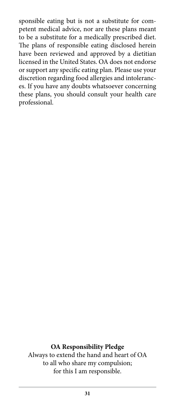sponsible eating but is not a substitute for competent medical advice, nor are these plans meant to be a substitute for a medically prescribed diet. The plans of responsible eating disclosed herein have been reviewed and approved by a dietitian licensed in the United States. OA does not endorse or support any specific eating plan. Please use your discretion regarding food allergies and intolerances. If you have any doubts whatsoever concerning these plans, you should consult your health care professional.

**OA Responsibility Pledge** Always to extend the hand and heart of OA to all who share my compulsion; for this I am responsible.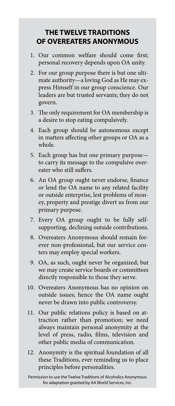### **THE TWELVE TRADITIONS OF OVEREATERS ANONYMOUS**

- 1. Our common welfare should come first; personal recovery depends upon OA unity.
- 2. For our group purpose there is but one ultimate authority—a loving God as He may express Himself in our group conscience. Our leaders are but trusted servants; they do not govern.
- 3. The only requirement for OA membership is a desire to stop eating compulsively.
- 4. Each group should be autonomous except in matters affecting other groups or OA as a whole.
- 5. Each group has but one primary purpose to carry its message to the compulsive overeater who still suffers.
- 6. An OA group ought never endorse, finance or lend the OA name to any related facility or outside enterprise, lest problems of money, property and prestige divert us from our primary purpose.
- 7. Every OA group ought to be fully selfsupporting, declining outside contributions.
- 8. Overeaters Anonymous should remain forever non-professional, but our service centers may employ special workers.
- 9. OA, as such, ought never be organized; but we may create service boards or committees directly responsible to those they serve.
- 10. Overeaters Anonymous has no opinion on outside issues; hence the OA name ought never be drawn into public controversy.
- 11. Our public relations policy is based on attraction rather than promotion; we need always maintain personal anonymity at the level of press, radio, films, television and other public media of communication.
- 12. Anonymity is the spiritual foundation of all these Traditions, ever reminding us to place principles before personalities.

Permission to use the Twelve Traditions of Alcoholics Anonymous for adaptation granted by AA World Services, Inc.